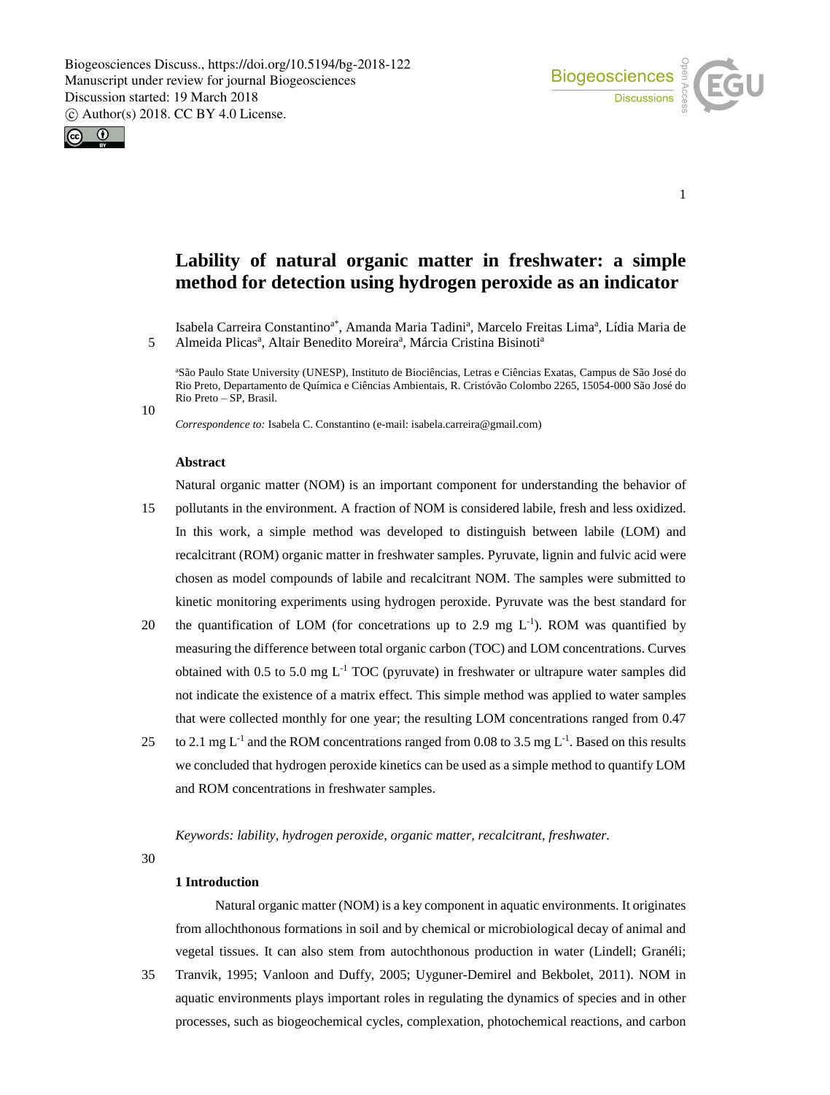

1



**Lability of natural organic matter in freshwater: a simple method for detection using hydrogen peroxide as an indicator**

Isabela Carreira Constantino<sup>a\*</sup>, Amanda Maria Tadini<sup>a</sup>, Marcelo Freitas Lima<sup>a</sup>, Lídia Maria de 5 Almeida Plicas<sup>a</sup>, Altair Benedito Moreira<sup>a</sup>, Márcia Cristina Bisinoti<sup>a</sup>

<sup>a</sup>São Paulo State University (UNESP), Instituto de Biociências, Letras e Ciências Exatas, Campus de São José do Rio Preto, Departamento de Química e Ciências Ambientais, R. Cristóvão Colombo 2265, 15054-000 São José do Rio Preto – SP, Brasil.

10

*Correspondence to:* Isabela C. Constantino (e-mail: isabela.carreira@gmail.com)

#### **Abstract**

Natural organic matter (NOM) is an important component for understanding the behavior of

- 15 pollutants in the environment. A fraction of NOM is considered labile, fresh and less oxidized. In this work, a simple method was developed to distinguish between labile (LOM) and recalcitrant (ROM) organic matter in freshwater samples. Pyruvate, lignin and fulvic acid were chosen as model compounds of labile and recalcitrant NOM. The samples were submitted to kinetic monitoring experiments using hydrogen peroxide. Pyruvate was the best standard for
- 20 the quantification of LOM (for concetrations up to 2.9 mg  $L^{-1}$ ). ROM was quantified by measuring the difference between total organic carbon (TOC) and LOM concentrations. Curves obtained with 0.5 to 5.0 mg  $L^{-1}$  TOC (pyruvate) in freshwater or ultrapure water samples did not indicate the existence of a matrix effect. This simple method was applied to water samples that were collected monthly for one year; the resulting LOM concentrations ranged from 0.47
- 25 to 2.1 mg L<sup>-1</sup> and the ROM concentrations ranged from 0.08 to 3.5 mg L<sup>-1</sup>. Based on this results we concluded that hydrogen peroxide kinetics can be used as a simple method to quantify LOM and ROM concentrations in freshwater samples.

*Keywords: lability, hydrogen peroxide, organic matter, recalcitrant, freshwater.*

30

## **1 Introduction**

Natural organic matter (NOM) is a key component in aquatic environments. It originates from allochthonous formations in soil and by chemical or microbiological decay of animal and vegetal tissues. It can also stem from autochthonous production in water (Lindell; Granéli;

35 Tranvik, 1995; Vanloon and Duffy, 2005; Uyguner-Demirel and Bekbolet, 2011). NOM in aquatic environments plays important roles in regulating the dynamics of species and in other processes, such as biogeochemical cycles, complexation, photochemical reactions, and carbon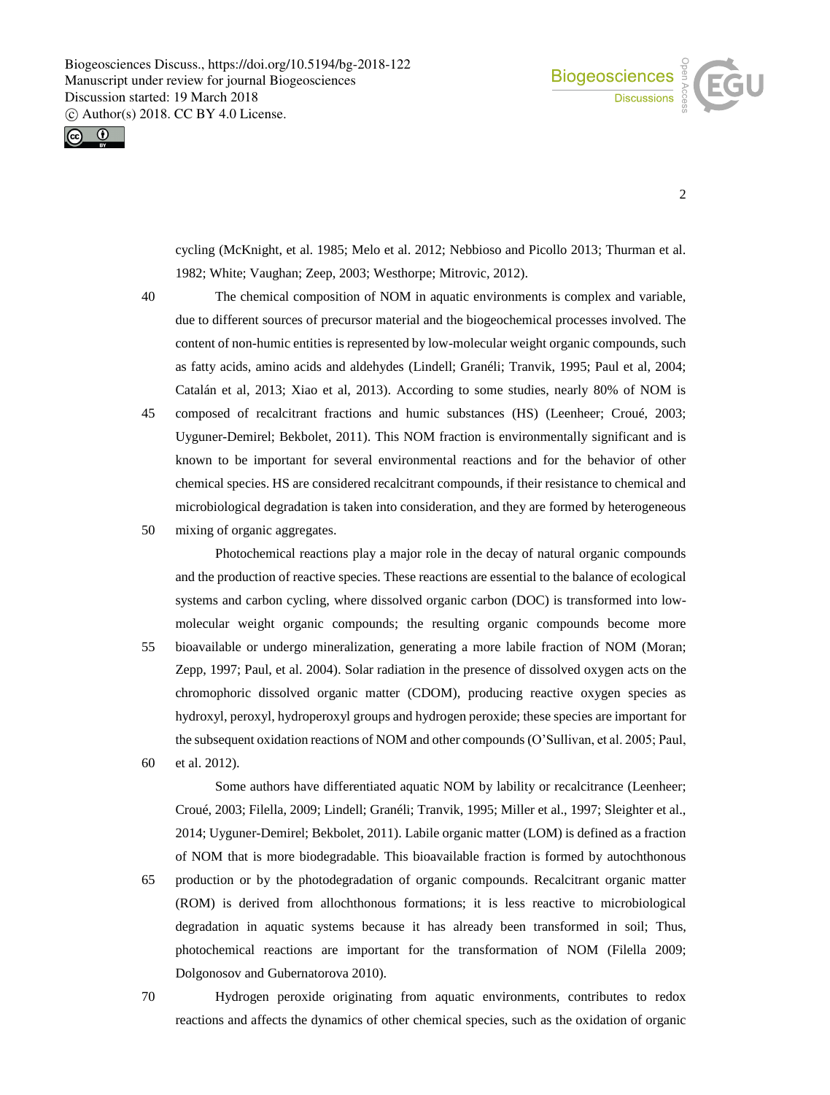



2

cycling (McKnight, et al. 1985; Melo et al. 2012; Nebbioso and Picollo 2013; Thurman et al. 1982; White; Vaughan; Zeep, 2003; Westhorpe; Mitrovic, 2012).

40 The chemical composition of NOM in aquatic environments is complex and variable, due to different sources of precursor material and the biogeochemical processes involved. The content of non-humic entities is represented by low-molecular weight organic compounds, such as fatty acids, amino acids and aldehydes (Lindell; Granéli; Tranvik, 1995; Paul et al, 2004; Catalán et al, 2013; Xiao et al, 2013). According to some studies, nearly 80% of NOM is

- 45 composed of recalcitrant fractions and humic substances (HS) (Leenheer; Croué, 2003; Uyguner-Demirel; Bekbolet, 2011). This NOM fraction is environmentally significant and is known to be important for several environmental reactions and for the behavior of other chemical species. HS are considered recalcitrant compounds, if their resistance to chemical and microbiological degradation is taken into consideration, and they are formed by heterogeneous
- 50 mixing of organic aggregates.

Photochemical reactions play a major role in the decay of natural organic compounds and the production of reactive species. These reactions are essential to the balance of ecological systems and carbon cycling, where dissolved organic carbon (DOC) is transformed into lowmolecular weight organic compounds; the resulting organic compounds become more 55 bioavailable or undergo mineralization, generating a more labile fraction of NOM (Moran; Zepp, 1997; Paul, et al. 2004). Solar radiation in the presence of dissolved oxygen acts on the chromophoric dissolved organic matter (CDOM), producing reactive oxygen species as hydroxyl, peroxyl, hydroperoxyl groups and hydrogen peroxide; these species are important for the subsequent oxidation reactions of NOM and other compounds (O'Sullivan, et al. 2005; Paul,

60 et al. 2012).

Some authors have differentiated aquatic NOM by lability or recalcitrance (Leenheer; Croué, 2003; Filella, 2009; Lindell; Granéli; Tranvik, 1995; Miller et al., 1997; Sleighter et al., 2014; Uyguner-Demirel; Bekbolet, 2011). Labile organic matter (LOM) is defined as a fraction of NOM that is more biodegradable. This bioavailable fraction is formed by autochthonous

65 production or by the photodegradation of organic compounds. Recalcitrant organic matter (ROM) is derived from allochthonous formations; it is less reactive to microbiological degradation in aquatic systems because it has already been transformed in soil; Thus, photochemical reactions are important for the transformation of NOM (Filella 2009; Dolgonosov and Gubernatorova 2010).

70 Hydrogen peroxide originating from aquatic environments, contributes to redox reactions and affects the dynamics of other chemical species, such as the oxidation of organic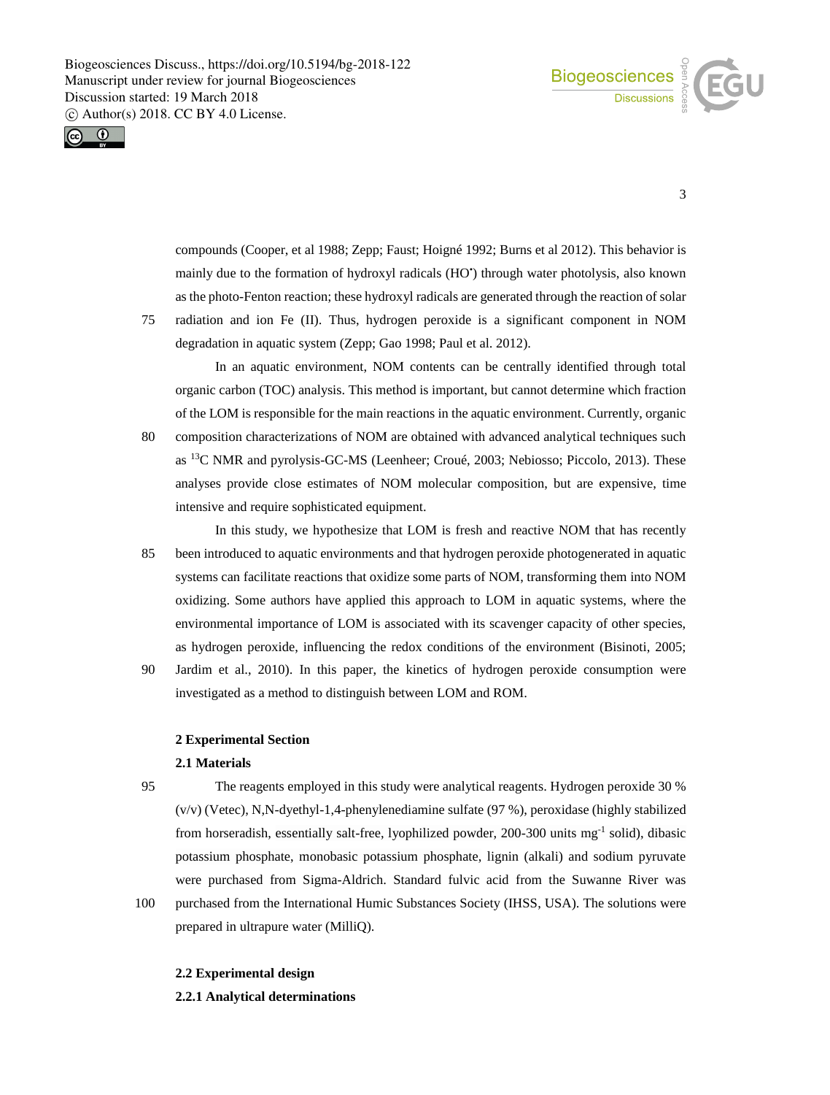



3

compounds (Cooper, et al 1988; Zepp; Faust; Hoigné 1992; Burns et al 2012). This behavior is mainly due to the formation of hydroxyl radicals (HO') through water photolysis, also known as the photo-Fenton reaction; these hydroxyl radicals are generated through the reaction of solar

75 radiation and ion Fe (II). Thus, hydrogen peroxide is a significant component in NOM degradation in aquatic system (Zepp; Gao 1998; Paul et al. 2012).

In an aquatic environment, NOM contents can be centrally identified through total organic carbon (TOC) analysis. This method is important, but cannot determine which fraction of the LOM is responsible for the main reactions in the aquatic environment. Currently, organic

80 composition characterizations of NOM are obtained with advanced analytical techniques such as <sup>13</sup>C NMR and pyrolysis-GC-MS (Leenheer; Croué, 2003; Nebiosso; Piccolo, 2013). These analyses provide close estimates of NOM molecular composition, but are expensive, time intensive and require sophisticated equipment.

In this study, we hypothesize that LOM is fresh and reactive NOM that has recently 85 been introduced to aquatic environments and that hydrogen peroxide photogenerated in aquatic systems can facilitate reactions that oxidize some parts of NOM, transforming them into NOM oxidizing. Some authors have applied this approach to LOM in aquatic systems, where the environmental importance of LOM is associated with its scavenger capacity of other species, as hydrogen peroxide, influencing the redox conditions of the environment (Bisinoti, 2005;

90 Jardim et al., 2010). In this paper, the kinetics of hydrogen peroxide consumption were investigated as a method to distinguish between LOM and ROM.

## **2 Experimental Section**

## **2.1 Materials**

95 The reagents employed in this study were analytical reagents. Hydrogen peroxide 30 % (v/v) (Vetec), N,N-dyethyl-1,4-phenylenediamine sulfate (97 %), peroxidase (highly stabilized from horseradish, essentially salt-free, lyophilized powder, 200-300 units mg<sup>-1</sup> solid), dibasic potassium phosphate, monobasic potassium phosphate, lignin (alkali) and sodium pyruvate were purchased from Sigma-Aldrich. Standard fulvic acid from the Suwanne River was

100 purchased from the International Humic Substances Society (IHSS, USA). The solutions were prepared in ultrapure water (MilliQ).

### **2.2 Experimental design**

**2.2.1 Analytical determinations**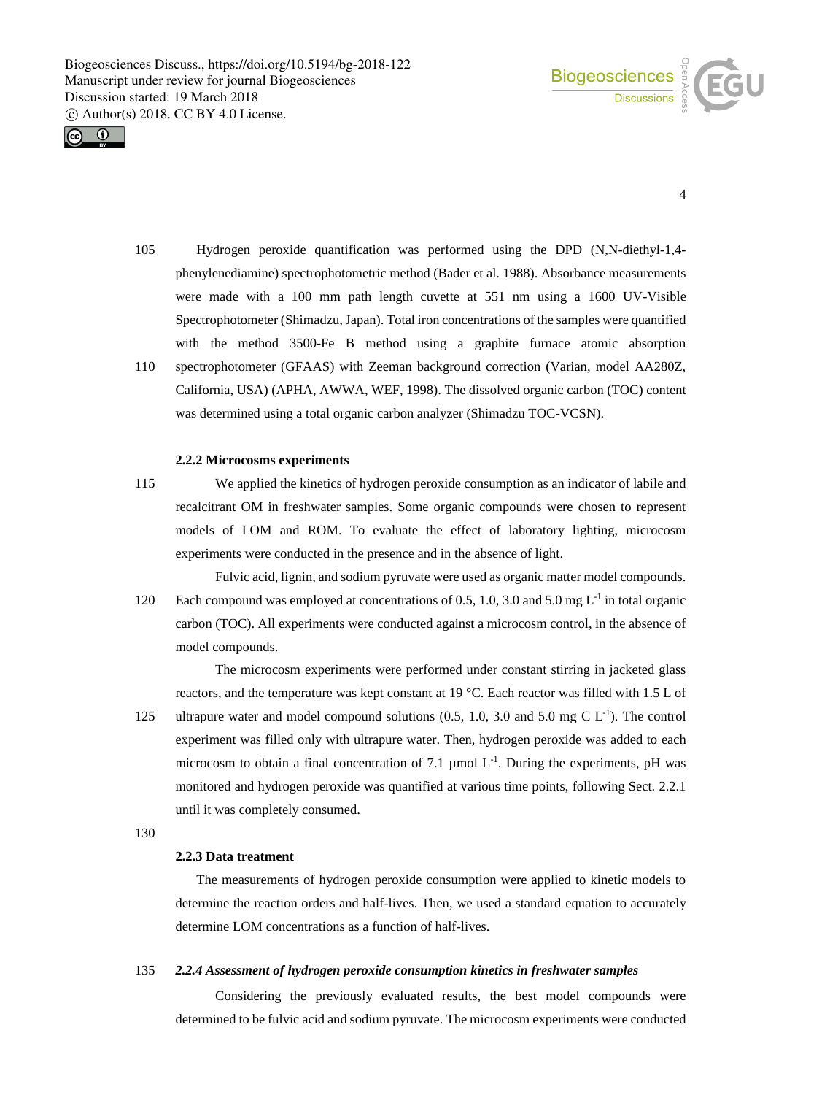



- 4
- 105 Hydrogen peroxide quantification was performed using the DPD (N,N-diethyl-1,4 phenylenediamine) spectrophotometric method (Bader et al. 1988). Absorbance measurements were made with a 100 mm path length cuvette at 551 nm using a 1600 UV-Visible Spectrophotometer (Shimadzu, Japan). Total iron concentrations of the samples were quantified with the method 3500-Fe B method using a graphite furnace atomic absorption
- 110 spectrophotometer (GFAAS) with Zeeman background correction (Varian, model AA280Z, California, USA) (APHA, AWWA, WEF, 1998). The dissolved organic carbon (TOC) content was determined using a total organic carbon analyzer (Shimadzu TOC-VCSN).

## **2.2.2 Microcosms experiments**

115 We applied the kinetics of hydrogen peroxide consumption as an indicator of labile and recalcitrant OM in freshwater samples. Some organic compounds were chosen to represent models of LOM and ROM. To evaluate the effect of laboratory lighting, microcosm experiments were conducted in the presence and in the absence of light.

Fulvic acid, lignin, and sodium pyruvate were used as organic matter model compounds. 120 Each compound was employed at concentrations of 0.5, 1.0, 3.0 and 5.0 mg  $L^{-1}$  in total organic carbon (TOC). All experiments were conducted against a microcosm control, in the absence of model compounds.

The microcosm experiments were performed under constant stirring in jacketed glass reactors, and the temperature was kept constant at 19 °C. Each reactor was filled with 1.5 L of 125 ultrapure water and model compound solutions  $(0.5, 1.0, 3.0 \text{ and } 5.0 \text{ mg C L}^{-1})$ . The control experiment was filled only with ultrapure water. Then, hydrogen peroxide was added to each microcosm to obtain a final concentration of 7.1  $\mu$ mol L<sup>-1</sup>. During the experiments, pH was monitored and hydrogen peroxide was quantified at various time points, following Sect. 2.2.1 until it was completely consumed.

130

#### **2.2.3 Data treatment**

The measurements of hydrogen peroxide consumption were applied to kinetic models to determine the reaction orders and half-lives. Then, we used a standard equation to accurately determine LOM concentrations as a function of half-lives.

#### 135 *2.2.4 Assessment of hydrogen peroxide consumption kinetics in freshwater samples*

Considering the previously evaluated results, the best model compounds were determined to be fulvic acid and sodium pyruvate. The microcosm experiments were conducted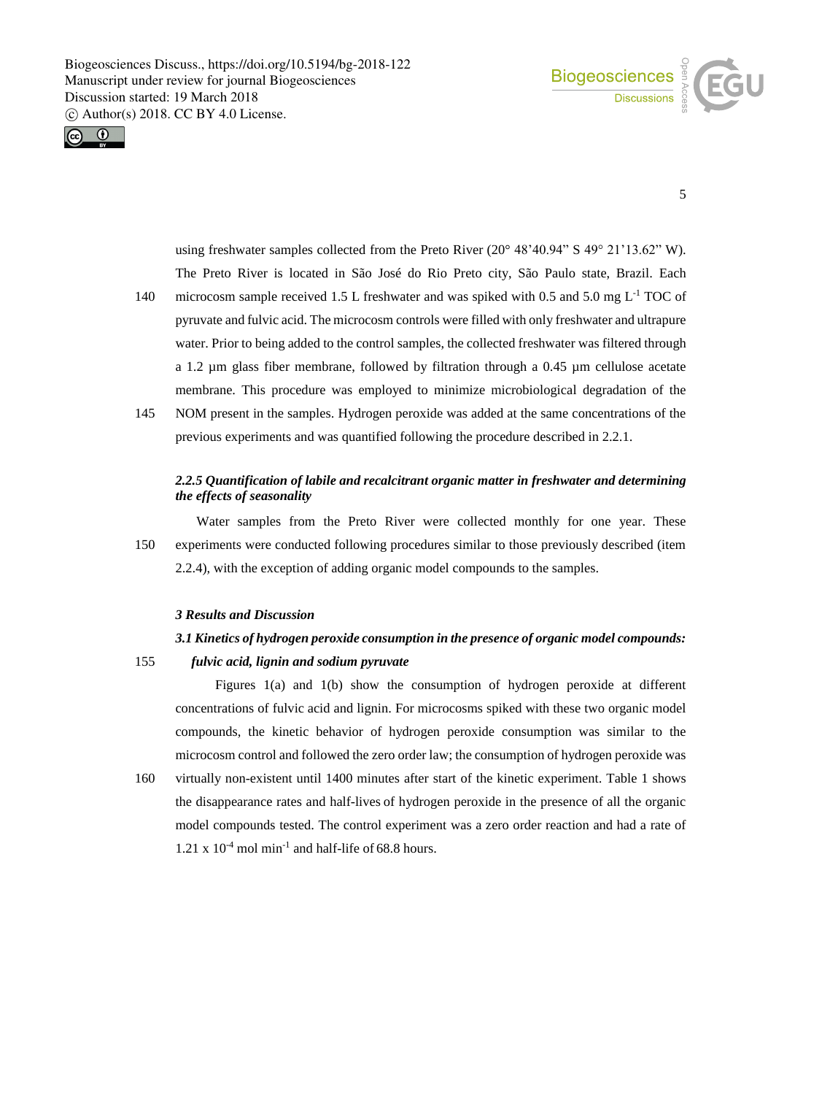



5

using freshwater samples collected from the Preto River (20° 48'40.94" S 49° 21'13.62" W). The Preto River is located in São José do Rio Preto city, São Paulo state, Brazil. Each

- 140 microcosm sample received 1.5 L freshwater and was spiked with 0.5 and 5.0 mg  $L^{-1}$  TOC of pyruvate and fulvic acid. The microcosm controls were filled with only freshwater and ultrapure water. Prior to being added to the control samples, the collected freshwater was filtered through a 1.2 µm glass fiber membrane, followed by filtration through a 0.45 µm cellulose acetate membrane. This procedure was employed to minimize microbiological degradation of the
- 145 NOM present in the samples. Hydrogen peroxide was added at the same concentrations of the previous experiments and was quantified following the procedure described in 2.2.1.

# *2.2.5 Quantification of labile and recalcitrant organic matter in freshwater and determining the effects of seasonality*

Water samples from the Preto River were collected monthly for one year. These 150 experiments were conducted following procedures similar to those previously described (item 2.2.4), with the exception of adding organic model compounds to the samples.

# *3 Results and Discussion*

# *3.1 Kinetics of hydrogen peroxide consumption in the presence of organic model compounds:*

155 *fulvic acid, lignin and sodium pyruvate*

Figures 1(a) and 1(b) show the consumption of hydrogen peroxide at different concentrations of fulvic acid and lignin. For microcosms spiked with these two organic model compounds, the kinetic behavior of hydrogen peroxide consumption was similar to the microcosm control and followed the zero order law; the consumption of hydrogen peroxide was

160 virtually non-existent until 1400 minutes after start of the kinetic experiment. Table 1 shows the disappearance rates and half-lives of hydrogen peroxide in the presence of all the organic model compounds tested. The control experiment was a zero order reaction and had a rate of 1.21 x  $10^{-4}$  mol min<sup>-1</sup> and half-life of 68.8 hours.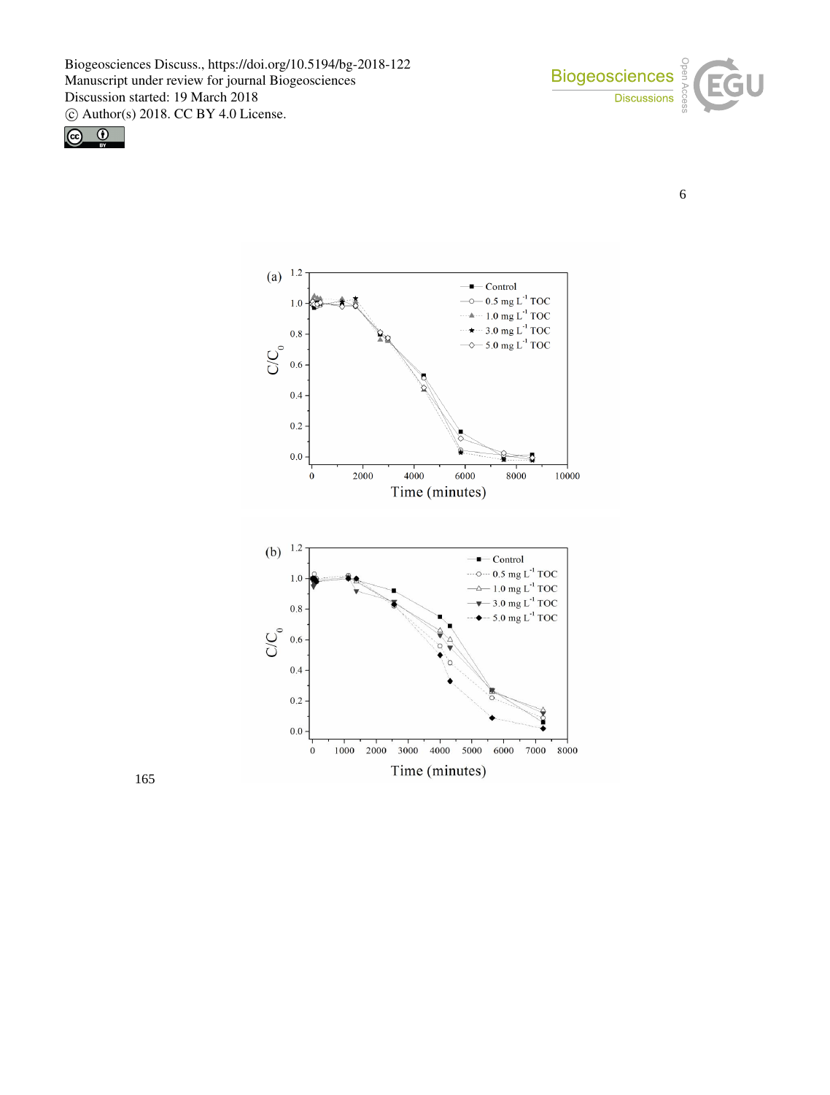

6





165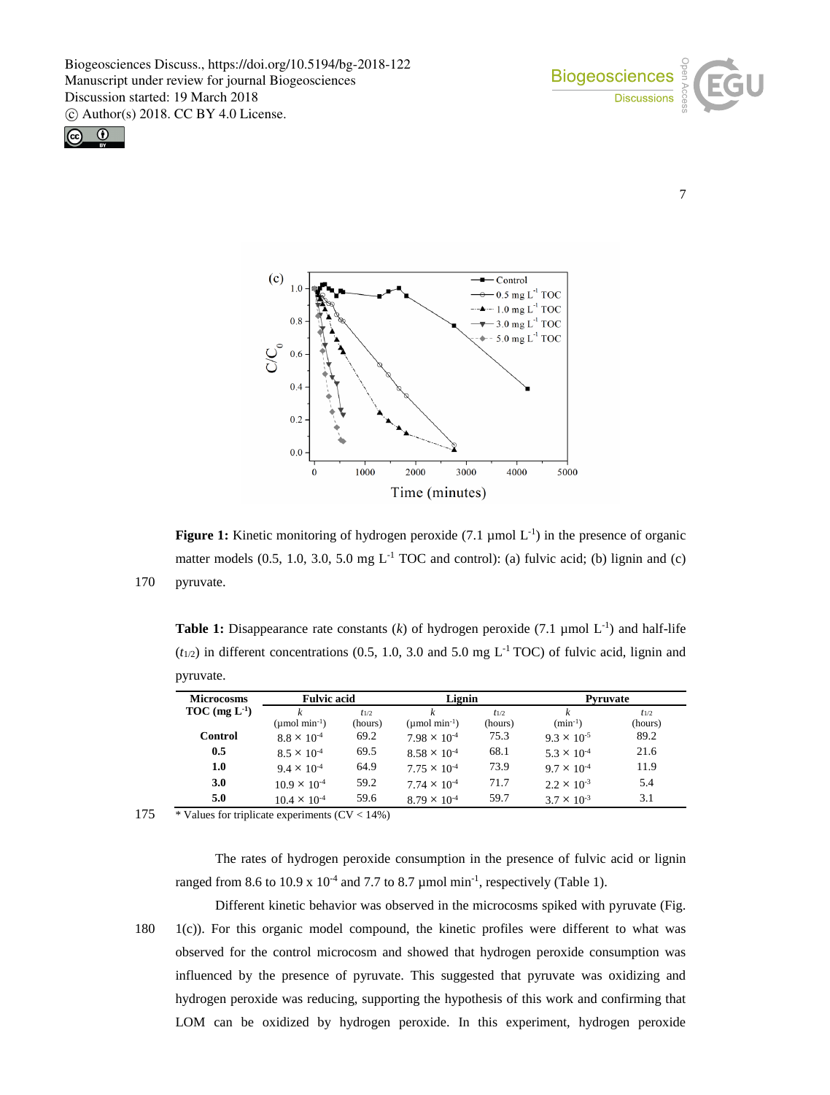

7





**Figure 1:** Kinetic monitoring of hydrogen peroxide  $(7.1 \mu \text{mol L}^{-1})$  in the presence of organic matter models  $(0.5, 1.0, 3.0, 5.0 \text{ mg } L^{-1}$  TOC and control): (a) fulvic acid; (b) lignin and (c) 170 pyruvate.

**Table 1:** Disappearance rate constants  $(k)$  of hydrogen peroxide (7.1 µmol  $L^{-1}$ ) and half-life  $(t_{1/2})$  in different concentrations (0.5, 1.0, 3.0 and 5.0 mg L<sup>-1</sup> TOC) of fulvic acid, lignin and pyruvate.

| <b>Microcosms</b> | <b>Fulvic acid</b>          |           | Lignin                         |           | <b>Pyruvate</b>      |           |
|-------------------|-----------------------------|-----------|--------------------------------|-----------|----------------------|-----------|
| $TOC (mg L-1)$    |                             | $t_{1/2}$ |                                | $t_{1/2}$ | k                    | $t_{1/2}$ |
|                   | $(\mu \text{mol min}^{-1})$ | (hours)   | $(\mu$ mol min <sup>-1</sup> ) | (hours)   | $(min^{-1})$         | (hours)   |
| <b>Control</b>    | $8.8 \times 10^{-4}$        | 69.2      | $7.98 \times 10^{-4}$          | 75.3      | $9.3 \times 10^{-5}$ | 89.2      |
| 0.5               | $8.5 \times 10^{-4}$        | 69.5      | $8.58 \times 10^{-4}$          | 68.1      | $5.3 \times 10^{-4}$ | 21.6      |
| 1.0               | $9.4 \times 10^{-4}$        | 64.9      | $7.75 \times 10^{-4}$          | 73.9      | $9.7 \times 10^{-4}$ | 11.9      |
| 3.0               | $10.9 \times 10^{-4}$       | 59.2      | $7.74 \times 10^{-4}$          | 71.7      | $2.2 \times 10^{-3}$ | 5.4       |
| 5.0               | $10.4 \times 10^{-4}$       | 59.6      | $8.79 \times 10^{-4}$          | 59.7      | $3.7 \times 10^{-3}$ | 3.1       |

175  $\overline{\text{values}}$  for triplicate experiments (CV < 14%)

The rates of hydrogen peroxide consumption in the presence of fulvic acid or lignin ranged from 8.6 to 10.9 x  $10^{-4}$  and 7.7 to 8.7  $\mu$  mol min<sup>-1</sup>, respectively (Table 1).

Different kinetic behavior was observed in the microcosms spiked with pyruvate (Fig. 180 1(c)). For this organic model compound, the kinetic profiles were different to what was observed for the control microcosm and showed that hydrogen peroxide consumption was influenced by the presence of pyruvate. This suggested that pyruvate was oxidizing and hydrogen peroxide was reducing, supporting the hypothesis of this work and confirming that LOM can be oxidized by hydrogen peroxide. In this experiment, hydrogen peroxide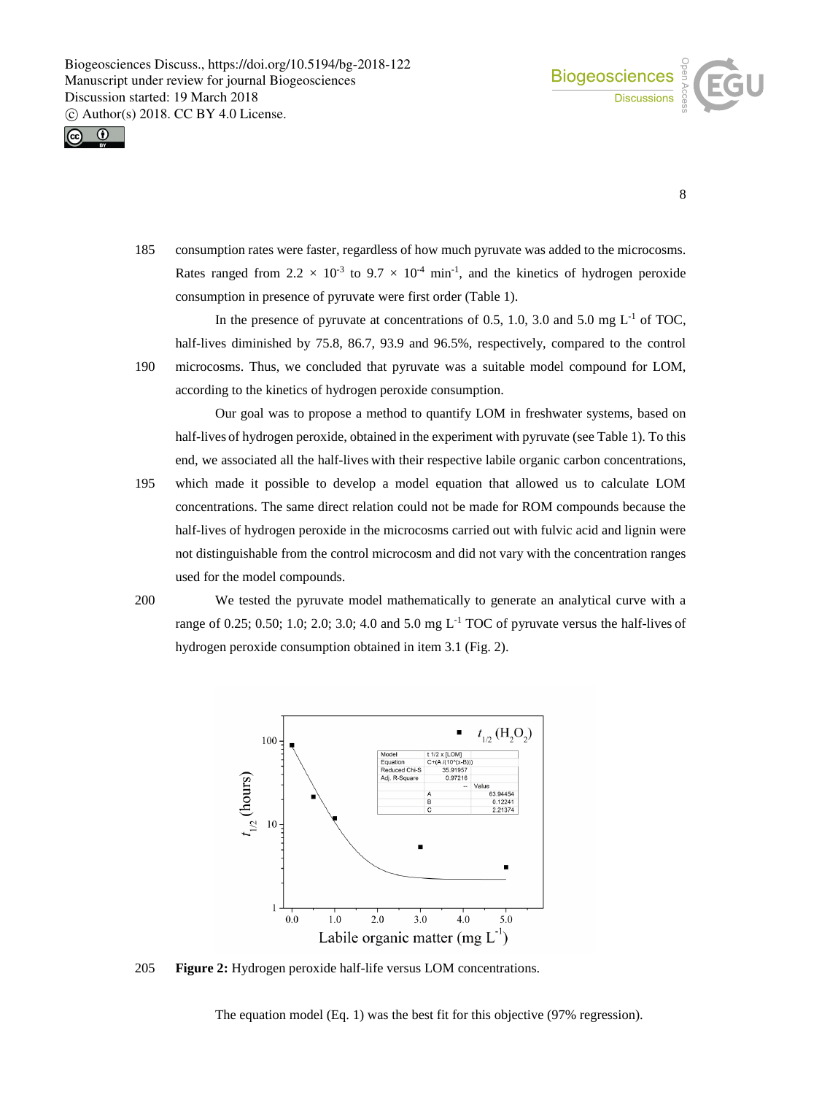



8

185 consumption rates were faster, regardless of how much pyruvate was added to the microcosms. Rates ranged from  $2.2 \times 10^{-3}$  to  $9.7 \times 10^{-4}$  min<sup>-1</sup>, and the kinetics of hydrogen peroxide consumption in presence of pyruvate were first order (Table 1).

In the presence of pyruvate at concentrations of 0.5, 1.0, 3.0 and 5.0 mg  $L^{-1}$  of TOC, half-lives diminished by 75.8, 86.7, 93.9 and 96.5%, respectively, compared to the control

190 microcosms. Thus, we concluded that pyruvate was a suitable model compound for LOM, according to the kinetics of hydrogen peroxide consumption.

Our goal was to propose a method to quantify LOM in freshwater systems, based on half-lives of hydrogen peroxide, obtained in the experiment with pyruvate (see Table 1). To this end, we associated all the half-lives with their respective labile organic carbon concentrations,

195 which made it possible to develop a model equation that allowed us to calculate LOM concentrations. The same direct relation could not be made for ROM compounds because the half-lives of hydrogen peroxide in the microcosms carried out with fulvic acid and lignin were not distinguishable from the control microcosm and did not vary with the concentration ranges used for the model compounds.

200 We tested the pyruvate model mathematically to generate an analytical curve with a range of 0.25; 0.50; 1.0; 2.0; 3.0; 4.0 and 5.0 mg  $L^{-1}$  TOC of pyruvate versus the half-lives of hydrogen peroxide consumption obtained in item 3.1 (Fig. 2).



205 **Figure 2:** Hydrogen peroxide half-life versus LOM concentrations.

The equation model (Eq. 1) was the best fit for this objective (97% regression).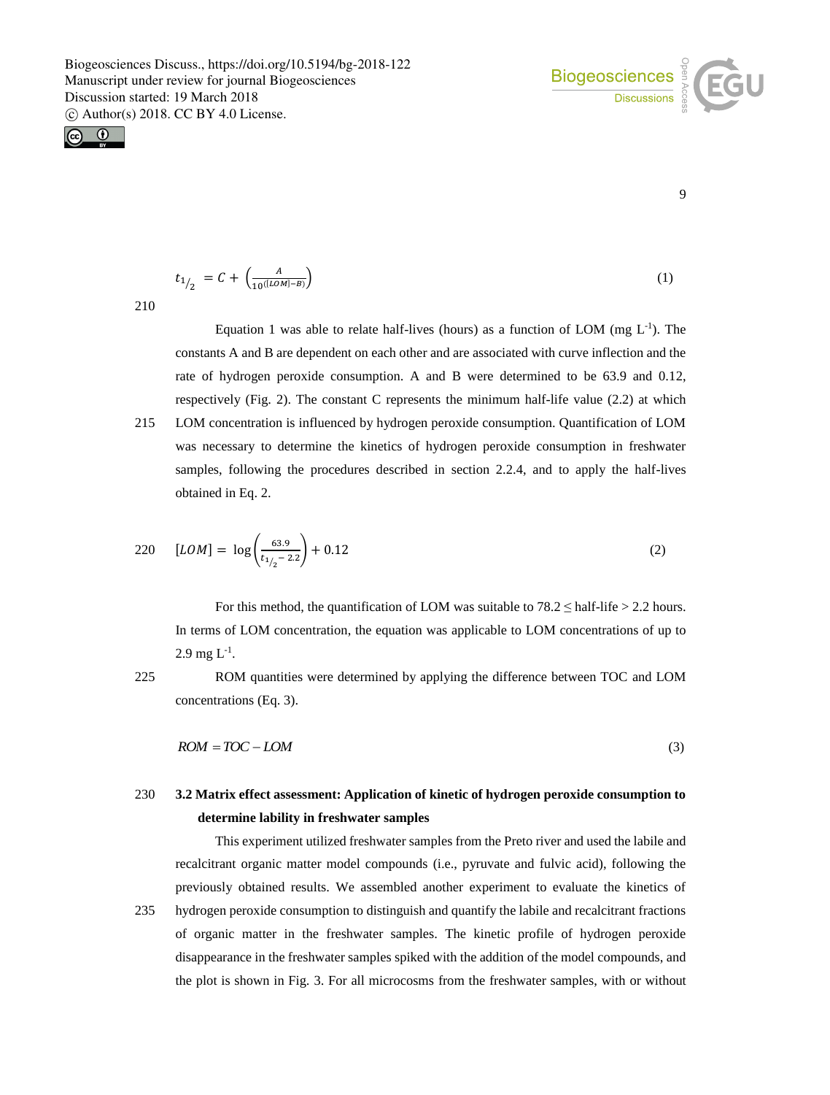



9

$$
t_{1/2} = C + \left(\frac{A}{10^{([LOM]-B)}}\right) \tag{1}
$$

210

Equation 1 was able to relate half-lives (hours) as a function of LOM (mg  $L^{-1}$ ). The constants A and B are dependent on each other and are associated with curve inflection and the rate of hydrogen peroxide consumption. A and B were determined to be 63.9 and 0.12, respectively (Fig. 2). The constant C represents the minimum half-life value (2.2) at which 215 LOM concentration is influenced by hydrogen peroxide consumption. Quantification of LOM was necessary to determine the kinetics of hydrogen peroxide consumption in freshwater samples, following the procedures described in section 2.2.4, and to apply the half-lives obtained in Eq. 2.

$$
220 \quad [LOM] = \log \left( \frac{63.9}{t_{1/2} - 2.2} \right) + 0.12 \tag{2}
$$

For this method, the quantification of LOM was suitable to  $78.2 \leq \text{half-life} > 2.2$  hours. In terms of LOM concentration, the equation was applicable to LOM concentrations of up to  $2.9 \text{ mg L}^{-1}$ .

225 ROM quantities were determined by applying the difference between TOC and LOM concentrations (Eq. 3).

$$
ROM = TOC - LOM \tag{3}
$$

# 230 **3.2 Matrix effect assessment: Application of kinetic of hydrogen peroxide consumption to determine lability in freshwater samples**

This experiment utilized freshwater samples from the Preto river and used the labile and recalcitrant organic matter model compounds (i.e., pyruvate and fulvic acid), following the previously obtained results. We assembled another experiment to evaluate the kinetics of 235 hydrogen peroxide consumption to distinguish and quantify the labile and recalcitrant fractions

of organic matter in the freshwater samples. The kinetic profile of hydrogen peroxide disappearance in the freshwater samples spiked with the addition of the model compounds, and the plot is shown in Fig. 3. For all microcosms from the freshwater samples, with or without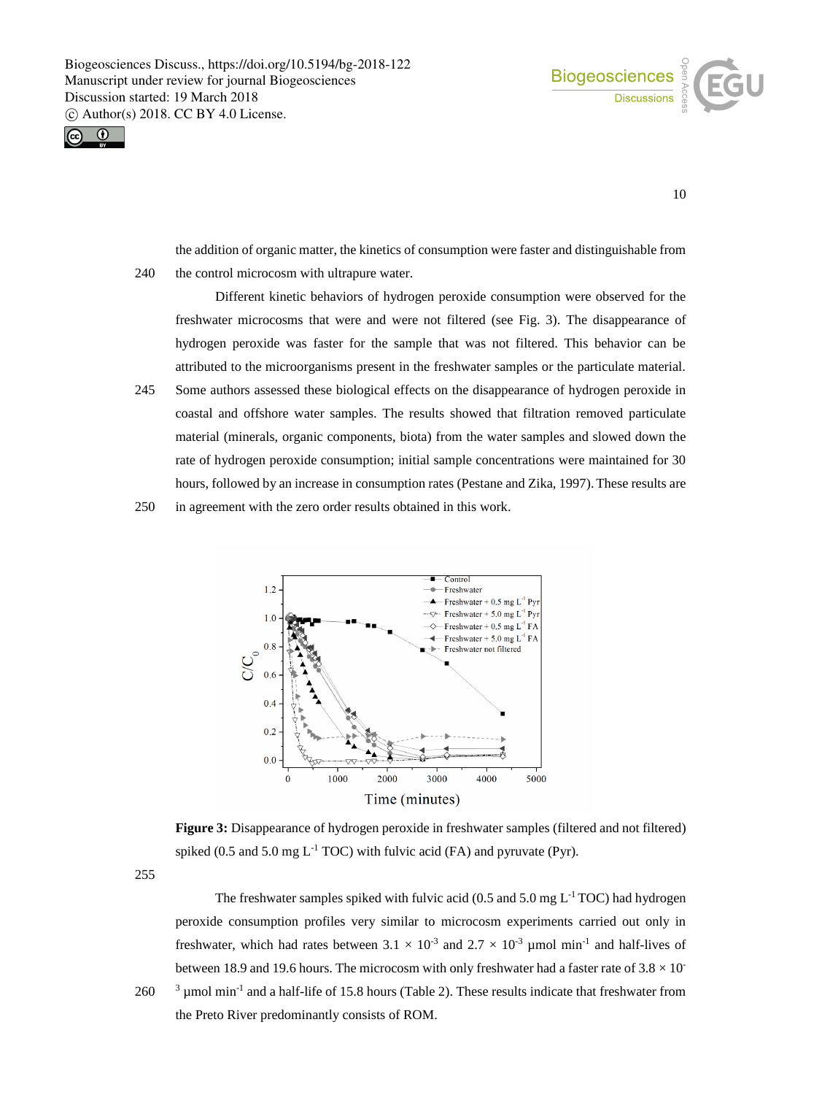



10

the addition of organic matter, the kinetics of consumption were faster and distinguishable from 240 the control microcosm with ultrapure water.

Different kinetic behaviors of hydrogen peroxide consumption were observed for the freshwater microcosms that were and were not filtered (see Fig. 3). The disappearance of hydrogen peroxide was faster for the sample that was not filtered. This behavior can be attributed to the microorganisms present in the freshwater samples or the particulate material.

245 Some authors assessed these biological effects on the disappearance of hydrogen peroxide in coastal and offshore water samples. The results showed that filtration removed particulate material (minerals, organic components, biota) from the water samples and slowed down the rate of hydrogen peroxide consumption; initial sample concentrations were maintained for 30 hours, followed by an increase in consumption rates (Pestane and Zika, 1997). These results are

250 in agreement with the zero order results obtained in this work.



Figure 3: Disappearance of hydrogen peroxide in freshwater samples (filtered and not filtered) spiked (0.5 and 5.0 mg  $L^{-1}$  TOC) with fulvic acid (FA) and pyruvate (Pyr).

255

The freshwater samples spiked with fulvic acid (0.5 and 5.0 mg  $L^{-1}$  TOC) had hydrogen peroxide consumption profiles very similar to microcosm experiments carried out only in freshwater, which had rates between  $3.1 \times 10^{-3}$  and  $2.7 \times 10^{-3}$  µmol min<sup>-1</sup> and half-lives of between 18.9 and 19.6 hours. The microcosm with only freshwater had a faster rate of  $3.8 \times 10^{-1}$  $260$  <sup>3</sup> µmol min<sup>-1</sup> and a half-life of 15.8 hours (Table 2). These results indicate that freshwater from the Preto River predominantly consists of ROM.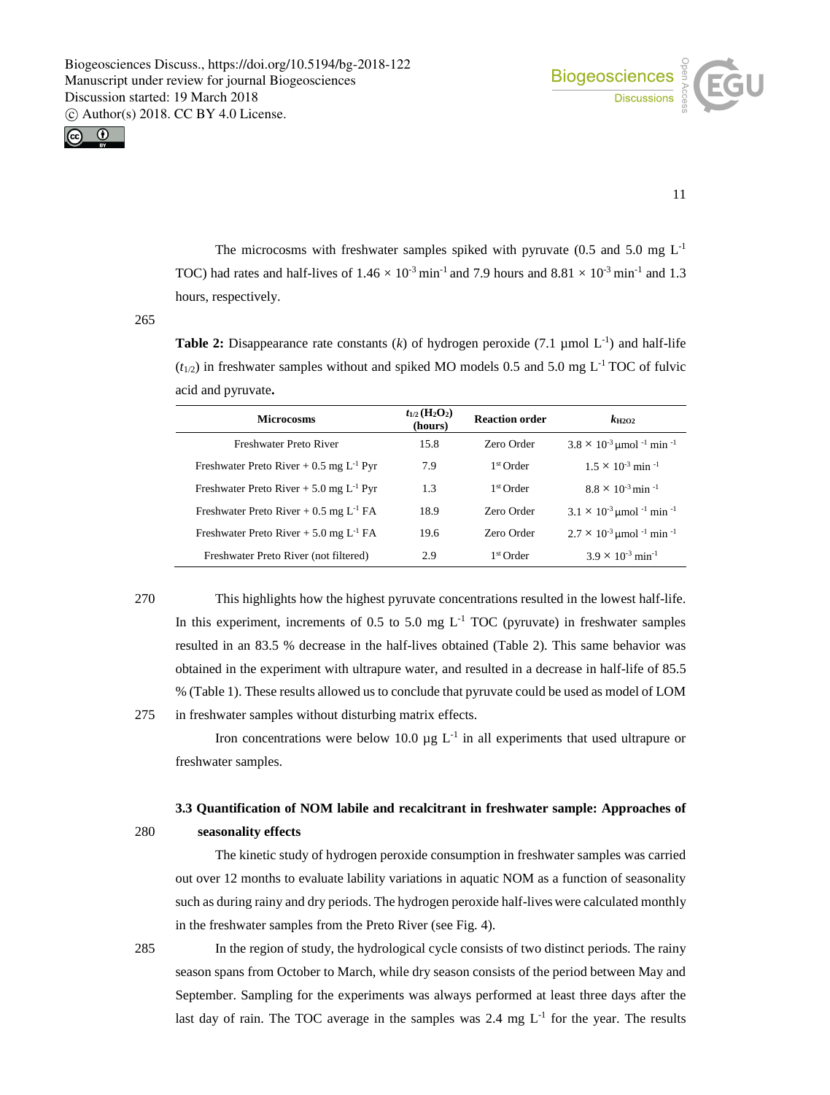



11

The microcosms with freshwater samples spiked with pyruvate  $(0.5 \text{ and } 5.0 \text{ mg } L^{-1})$ TOC) had rates and half-lives of  $1.46 \times 10^{-3}$  min<sup>-1</sup> and  $7.9$  hours and  $8.81 \times 10^{-3}$  min<sup>-1</sup> and 1.3 hours, respectively.

265

**Table 2:** Disappearance rate constants  $(k)$  of hydrogen peroxide  $(7.1 \text{ }\mu\text{mol L}^{-1})$  and half-life  $(t_{1/2})$  in freshwater samples without and spiked MO models 0.5 and 5.0 mg L<sup>-1</sup> TOC of fulvic acid and pyruvate**.**

| <b>Microcosms</b>                                     | $t_{1/2}$ (H <sub>2</sub> O <sub>2</sub> )<br>(hours) | <b>Reaction order</b> | $k_{\rm H2O2}$                                            |
|-------------------------------------------------------|-------------------------------------------------------|-----------------------|-----------------------------------------------------------|
| Freshwater Preto River                                | 15.8                                                  | Zero Order            | $3.8 \times 10^{-3}$ µmol <sup>-1</sup> min <sup>-1</sup> |
| Freshwater Preto River + $0.5 \text{ mg } L^{-1}$ Pyr | 7.9                                                   | 1 <sup>st</sup> Order | $1.5 \times 10^{-3}$ min <sup>-1</sup>                    |
| Freshwater Preto River $+ 5.0$ mg L <sup>-1</sup> Pyr | 1.3                                                   | 1 <sup>st</sup> Order | $8.8 \times 10^{-3}$ min <sup>-1</sup>                    |
| Freshwater Preto River $+ 0.5$ mg L <sup>-1</sup> FA  | 18.9                                                  | Zero Order            | $3.1 \times 10^{-3}$ µmol <sup>-1</sup> min <sup>-1</sup> |
| Freshwater Preto River $+ 5.0$ mg L <sup>-1</sup> FA  | 19.6                                                  | Zero Order            | $2.7 \times 10^{-3}$ umol <sup>-1</sup> min <sup>-1</sup> |
| Freshwater Preto River (not filtered)                 | 2.9                                                   | 1 <sup>st</sup> Order | $3.9 \times 10^{-3}$ min <sup>-1</sup>                    |

270 This highlights how the highest pyruvate concentrations resulted in the lowest half-life. In this experiment, increments of 0.5 to 5.0 mg  $L^{-1}$  TOC (pyruvate) in freshwater samples resulted in an 83.5 % decrease in the half-lives obtained (Table 2). This same behavior was obtained in the experiment with ultrapure water, and resulted in a decrease in half-life of 85.5 % (Table 1). These results allowed us to conclude that pyruvate could be used as model of LOM 275 in freshwater samples without disturbing matrix effects.

Iron concentrations were below 10.0  $\mu$ g L<sup>-1</sup> in all experiments that used ultrapure or freshwater samples.

# **3.3 Quantification of NOM labile and recalcitrant in freshwater sample: Approaches of** 280 **seasonality effects**

The kinetic study of hydrogen peroxide consumption in freshwater samples was carried out over 12 months to evaluate lability variations in aquatic NOM as a function of seasonality such as during rainy and dry periods. The hydrogen peroxide half-liveswere calculated monthly in the freshwater samples from the Preto River (see Fig. 4).

285 In the region of study, the hydrological cycle consists of two distinct periods. The rainy season spans from October to March, while dry season consists of the period between May and September. Sampling for the experiments was always performed at least three days after the last day of rain. The TOC average in the samples was 2.4 mg  $L^{-1}$  for the year. The results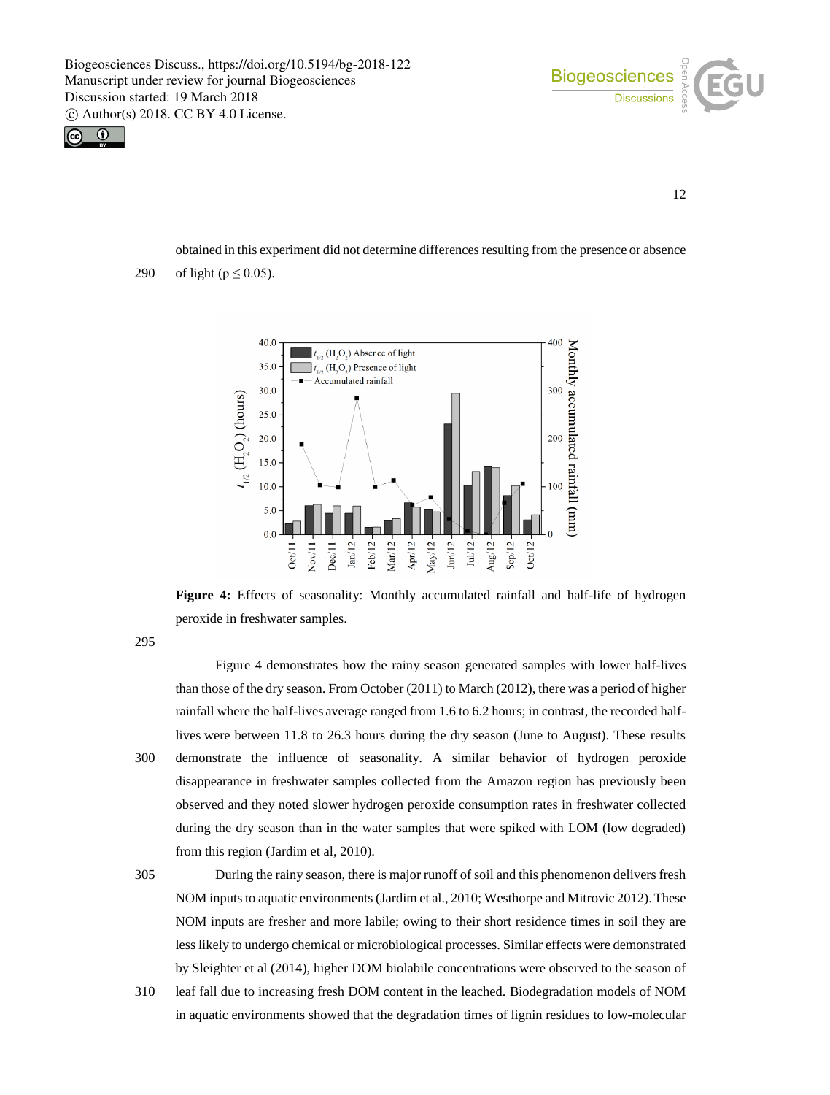



12

obtained in this experiment did not determine differences resulting from the presence or absence 290 of light ( $p \le 0.05$ ).



**Figure 4:** Effects of seasonality: Monthly accumulated rainfall and half-life of hydrogen peroxide in freshwater samples.

295

Figure 4 demonstrates how the rainy season generated samples with lower half-lives than those of the dry season. From October (2011) to March (2012), there was a period of higher rainfall where the half-lives average ranged from 1.6 to 6.2 hours; in contrast, the recorded halflives were between 11.8 to 26.3 hours during the dry season (June to August). These results 300 demonstrate the influence of seasonality. A similar behavior of hydrogen peroxide disappearance in freshwater samples collected from the Amazon region has previously been observed and they noted slower hydrogen peroxide consumption rates in freshwater collected during the dry season than in the water samples that were spiked with LOM (low degraded) from this region (Jardim et al, 2010).

305 During the rainy season, there is major runoff of soil and this phenomenon delivers fresh NOM inputs to aquatic environments (Jardim et al., 2010; Westhorpe and Mitrovic 2012).These NOM inputs are fresher and more labile; owing to their short residence times in soil they are less likely to undergo chemical or microbiological processes. Similar effects were demonstrated by Sleighter et al (2014), higher DOM biolabile concentrations were observed to the season of

310 leaf fall due to increasing fresh DOM content in the leached. Biodegradation models of NOM in aquatic environments showed that the degradation times of lignin residues to low-molecular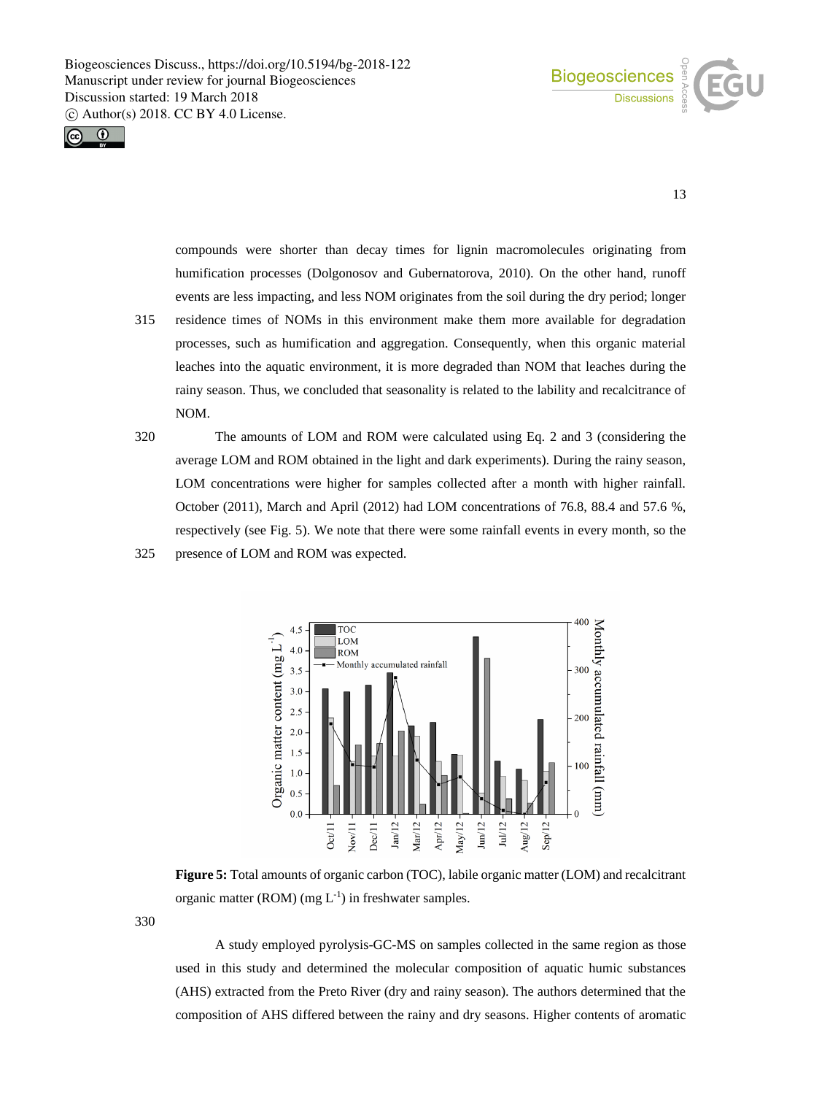



13

compounds were shorter than decay times for lignin macromolecules originating from humification processes (Dolgonosov and Gubernatorova, 2010). On the other hand, runoff events are less impacting, and less NOM originates from the soil during the dry period; longer

- 315 residence times of NOMs in this environment make them more available for degradation processes, such as humification and aggregation. Consequently, when this organic material leaches into the aquatic environment, it is more degraded than NOM that leaches during the rainy season. Thus, we concluded that seasonality is related to the lability and recalcitrance of NOM.
- 320 The amounts of LOM and ROM were calculated using Eq. 2 and 3 (considering the average LOM and ROM obtained in the light and dark experiments). During the rainy season, LOM concentrations were higher for samples collected after a month with higher rainfall. October (2011), March and April (2012) had LOM concentrations of 76.8, 88.4 and 57.6 %, respectively (see Fig. 5). We note that there were some rainfall events in every month, so the 325 presence of LOM and ROM was expected.



**Figure 5:** Total amounts of organic carbon (TOC), labile organic matter (LOM) and recalcitrant organic matter (ROM) (mg  $L^{-1}$ ) in freshwater samples.

330

A study employed pyrolysis-GC-MS on samples collected in the same region as those used in this study and determined the molecular composition of aquatic humic substances (AHS) extracted from the Preto River (dry and rainy season). The authors determined that the composition of AHS differed between the rainy and dry seasons. Higher contents of aromatic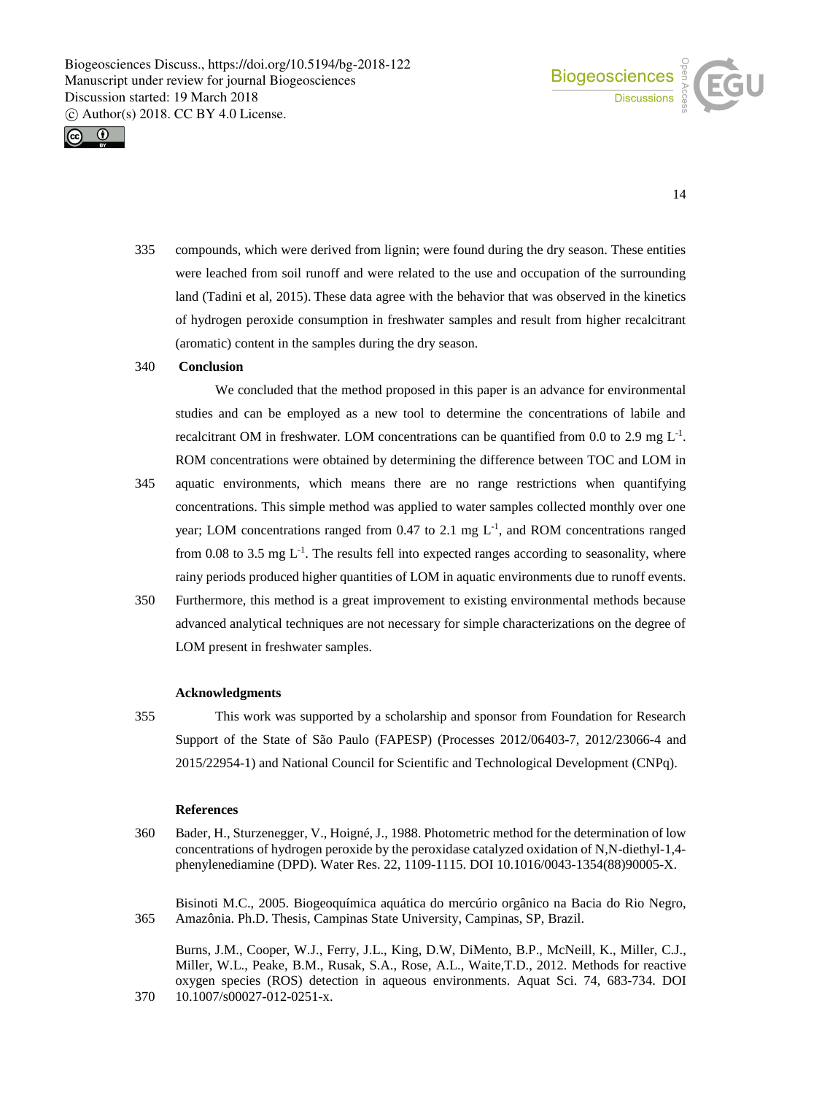



14

335 compounds, which were derived from lignin; were found during the dry season. These entities were leached from soil runoff and were related to the use and occupation of the surrounding land (Tadini et al, 2015). These data agree with the behavior that was observed in the kinetics of hydrogen peroxide consumption in freshwater samples and result from higher recalcitrant (aromatic) content in the samples during the dry season.

## 340 **Conclusion**

We concluded that the method proposed in this paper is an advance for environmental studies and can be employed as a new tool to determine the concentrations of labile and recalcitrant OM in freshwater. LOM concentrations can be quantified from 0.0 to 2.9 mg  $L^{-1}$ . ROM concentrations were obtained by determining the difference between TOC and LOM in

- 345 aquatic environments, which means there are no range restrictions when quantifying concentrations. This simple method was applied to water samples collected monthly over one year; LOM concentrations ranged from  $0.47$  to  $2.1$  mg  $L^{-1}$ , and ROM concentrations ranged from 0.08 to 3.5 mg  $L^{-1}$ . The results fell into expected ranges according to seasonality, where rainy periods produced higher quantities of LOM in aquatic environments due to runoff events.
- 350 Furthermore, this method is a great improvement to existing environmental methods because advanced analytical techniques are not necessary for simple characterizations on the degree of LOM present in freshwater samples.

#### **Acknowledgments**

355 This work was supported by a scholarship and sponsor from Foundation for Research Support of the State of São Paulo (FAPESP) (Processes 2012/06403-7, 2012/23066-4 and 2015/22954-1) and National Council for Scientific and Technological Development (CNPq).

#### **References**

360 Bader, H., Sturzenegger, V., Hoigné, J., 1988. Photometric method for the determination of low concentrations of hydrogen peroxide by the peroxidase catalyzed oxidation of N,N-diethyl-1,4 phenylenediamine (DPD). Water Res. 22, 1109-1115. DOI 10.1016/0043-1354(88)90005-X.

Bisinoti M.C., 2005. Biogeoquímica aquática do mercúrio orgânico na Bacia do Rio Negro, 365 Amazônia. Ph.D. Thesis, Campinas State University, Campinas, SP, Brazil.

Burns, J.M., Cooper, W.J., Ferry, J.L., King, D.W, DiMento, B.P., McNeill, K., Miller, C.J., Miller, W.L., Peake, B.M., Rusak, S.A., Rose, A.L., Waite,T.D., 2012. Methods for reactive oxygen species (ROS) detection in aqueous environments. Aquat Sci. 74, 683-734. DOI 370 10.1007/s00027-012-0251-x.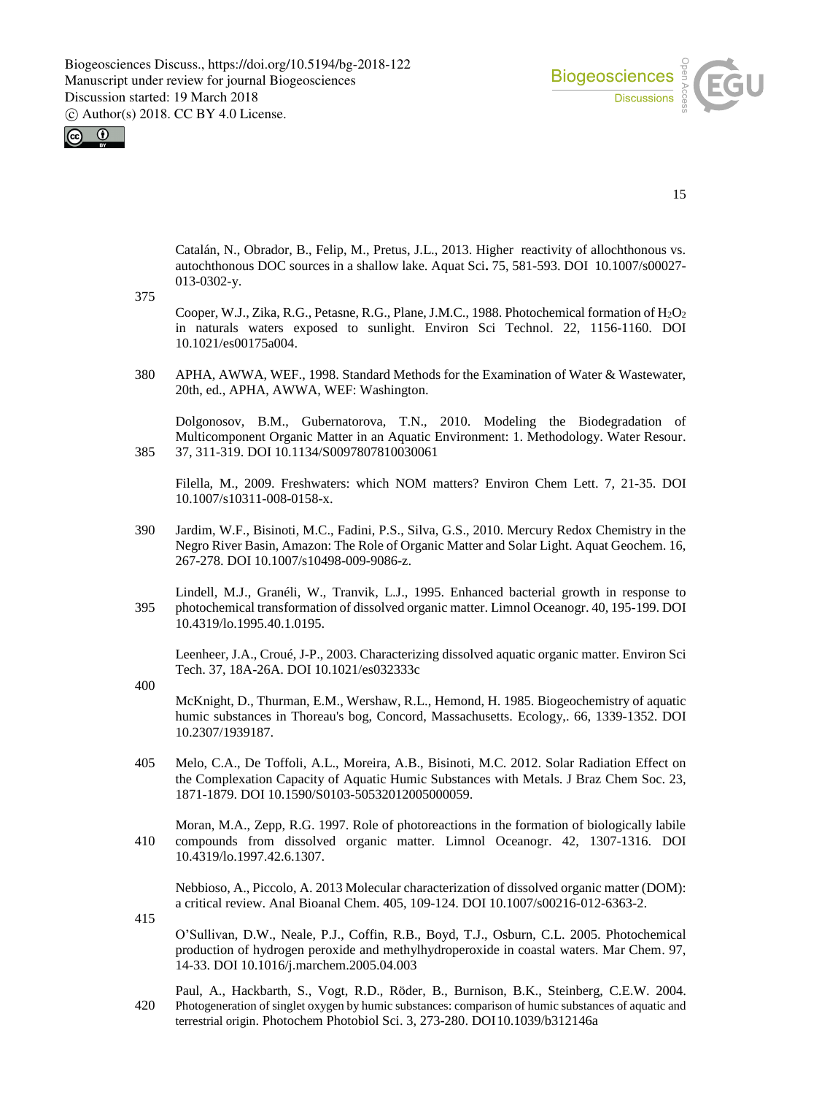

 $\odot$ 

15

Catalán, N., Obrador, B., Felip, M., Pretus, J.L., 2013. Higher reactivity of allochthonous vs. autochthonous DOC sources in a shallow lake. Aquat Sci**.** 75, 581-593. DOI 10.1007/s00027- 013-0302-y.

375

Cooper, W.J., Zika, R.G., Petasne, R.G., Plane, J.M.C., 1988. Photochemical formation of H<sub>2</sub>O<sub>2</sub> in naturals waters exposed to sunlight. Environ Sci Technol. 22, 1156-1160. DOI 10.1021/es00175a004.

380 APHA, AWWA, WEF., 1998. Standard Methods for the Examination of Water & Wastewater, 20th, ed., APHA, AWWA, WEF: Washington.

Dolgonosov, B.M., Gubernatorova, T.N., 2010. Modeling the Biodegradation of Multicomponent Organic Matter in an Aquatic Environment: 1. Methodology. Water Resour. 385 37, 311-319. DOI 10.1134/S0097807810030061

Filella, M., 2009. Freshwaters: which NOM matters? Environ Chem Lett. 7, 21-35. DOI 10.1007/s10311-008-0158-x.

390 Jardim, W.F., Bisinoti, M.C., Fadini, P.S., Silva, G.S., 2010. Mercury Redox Chemistry in the Negro River Basin, Amazon: The Role of Organic Matter and Solar Light. Aquat Geochem. 16, 267-278. DOI 10.1007/s10498-009-9086-z.

Lindell, M.J., Granéli, W., Tranvik, L.J., 1995. Enhanced bacterial growth in response to 395 photochemical transformation of dissolved organic matter. Limnol Oceanogr. 40, 195-199. DOI 10.4319/lo.1995.40.1.0195.

Leenheer, J.A., Croué, J-P., 2003. Characterizing dissolved aquatic organic matter. Environ Sci Tech. 37, 18A-26A. DOI 10.1021/es032333c

400

McKnight, D., Thurman, E.M., Wershaw, R.L., Hemond, H. 1985. Biogeochemistry of aquatic humic substances in Thoreau's bog, Concord, Massachusetts. Ecology,. 66, 1339-1352. DOI 10.2307/1939187.

405 Melo, C.A., De Toffoli, A.L., Moreira, A.B., Bisinoti, M.C. 2012. Solar Radiation Effect on the Complexation Capacity of Aquatic Humic Substances with Metals. J Braz Chem Soc. 23, 1871-1879. DOI 10.1590/S0103-50532012005000059.

Moran, M.A., Zepp, R.G. 1997. Role of photoreactions in the formation of biologically labile 410 compounds from dissolved organic matter. Limnol Oceanogr. 42, 1307-1316. DOI 10.4319/lo.1997.42.6.1307.

Nebbioso, A., Piccolo, A. 2013 Molecular characterization of dissolved organic matter (DOM): a critical review. Anal Bioanal Chem. 405, 109-124. DOI 10.1007/s00216-012-6363-2.

415

O'Sullivan, D.W., Neale, P.J., Coffin, R.B., Boyd, T.J., Osburn, C.L. 2005. Photochemical production of hydrogen peroxide and methylhydroperoxide in coastal waters. Mar Chem. 97, 14-33. DOI 10.1016/j.marchem.2005.04.003

Paul, A., Hackbarth, S., Vogt, R.D., Röder, B., Burnison, B.K., Steinberg, C.E.W. 2004. 420 Photogeneration of singlet oxygen by humic substances: comparison of humic substances of aquatic and terrestrial origin. Photochem Photobiol Sci. 3, 273-280. DOI10.1039/b312146a